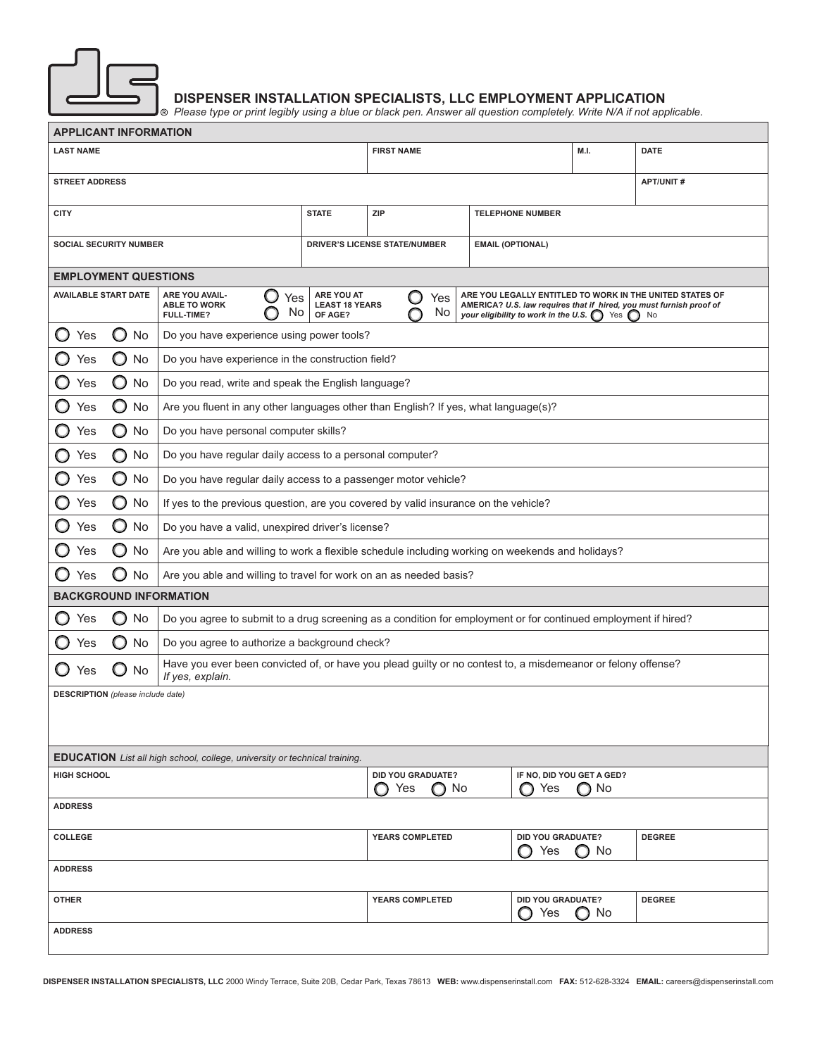

## **DISPENSER INSTALLATION SPECIALISTS, LLC EMPLOYMENT APPLICATION**

*Please type or print legibly using a blue or black pen. Answer all question completely. Write N/A if not applicable.*

| <b>APPLICANT INFORMATION</b>                                                                                  |                               |                                                                                                                                  |                                                                                     |                                                                                                                                                                                                                                               |                          |                                   |               |
|---------------------------------------------------------------------------------------------------------------|-------------------------------|----------------------------------------------------------------------------------------------------------------------------------|-------------------------------------------------------------------------------------|-----------------------------------------------------------------------------------------------------------------------------------------------------------------------------------------------------------------------------------------------|--------------------------|-----------------------------------|---------------|
| <b>LAST NAME</b>                                                                                              |                               |                                                                                                                                  |                                                                                     | <b>FIRST NAME</b>                                                                                                                                                                                                                             |                          | M.I.                              | <b>DATE</b>   |
| <b>STREET ADDRESS</b><br><b>APT/UNIT#</b>                                                                     |                               |                                                                                                                                  |                                                                                     |                                                                                                                                                                                                                                               |                          |                                   |               |
| <b>CITY</b>                                                                                                   |                               |                                                                                                                                  | <b>STATE</b>                                                                        | <b>ZIP</b>                                                                                                                                                                                                                                    | <b>TELEPHONE NUMBER</b>  |                                   |               |
|                                                                                                               | <b>SOCIAL SECURITY NUMBER</b> |                                                                                                                                  |                                                                                     | <b>DRIVER'S LICENSE STATE/NUMBER</b>                                                                                                                                                                                                          | <b>EMAIL (OPTIONAL)</b>  |                                   |               |
|                                                                                                               | <b>EMPLOYMENT QUESTIONS</b>   |                                                                                                                                  |                                                                                     |                                                                                                                                                                                                                                               |                          |                                   |               |
| <b>AVAILABLE START DATE</b><br><b>ARE YOU AVAIL-</b><br>Yes<br><b>ABLE TO WORK</b><br>No<br><b>FULL-TIME?</b> |                               |                                                                                                                                  | ARE YOU AT<br>OF AGE?                                                               | ARE YOU LEGALLY ENTITLED TO WORK IN THE UNITED STATES OF<br>O<br>Yes<br><b>LEAST 18 YEARS</b><br>AMERICA? U.S. law requires that if hired, you must furnish proof of<br>No<br>your eligibility to work in the U.S. $\bigcap$ Yes $\bigcap$ No |                          |                                   |               |
| O<br>Yes                                                                                                      | O<br>No                       | Do you have experience using power tools?                                                                                        |                                                                                     |                                                                                                                                                                                                                                               |                          |                                   |               |
| Yes                                                                                                           | O<br>No                       | Do you have experience in the construction field?                                                                                |                                                                                     |                                                                                                                                                                                                                                               |                          |                                   |               |
| Yes                                                                                                           | O<br>No                       | Do you read, write and speak the English language?                                                                               |                                                                                     |                                                                                                                                                                                                                                               |                          |                                   |               |
| Yes                                                                                                           | O<br>No                       | Are you fluent in any other languages other than English? If yes, what language(s)?                                              |                                                                                     |                                                                                                                                                                                                                                               |                          |                                   |               |
| O<br>Yes                                                                                                      | O<br>No                       | Do you have personal computer skills?                                                                                            |                                                                                     |                                                                                                                                                                                                                                               |                          |                                   |               |
| O<br>Yes                                                                                                      | O<br>No                       | Do you have regular daily access to a personal computer?                                                                         |                                                                                     |                                                                                                                                                                                                                                               |                          |                                   |               |
| $\circ$<br>Yes                                                                                                | O<br>No                       | Do you have regular daily access to a passenger motor vehicle?                                                                   |                                                                                     |                                                                                                                                                                                                                                               |                          |                                   |               |
| O<br>Yes                                                                                                      | O<br>No                       |                                                                                                                                  | If yes to the previous question, are you covered by valid insurance on the vehicle? |                                                                                                                                                                                                                                               |                          |                                   |               |
| $\mathbf{\mathsf{O}}$<br>Yes                                                                                  | O<br>No                       |                                                                                                                                  | Do you have a valid, unexpired driver's license?                                    |                                                                                                                                                                                                                                               |                          |                                   |               |
| Yes                                                                                                           | O<br>No                       | Are you able and willing to work a flexible schedule including working on weekends and holidays?                                 |                                                                                     |                                                                                                                                                                                                                                               |                          |                                   |               |
| Yes                                                                                                           | O<br>No                       | Are you able and willing to travel for work on an as needed basis?                                                               |                                                                                     |                                                                                                                                                                                                                                               |                          |                                   |               |
|                                                                                                               | <b>BACKGROUND INFORMATION</b> |                                                                                                                                  |                                                                                     |                                                                                                                                                                                                                                               |                          |                                   |               |
| O<br>Yes                                                                                                      | No<br>O                       | Do you agree to submit to a drug screening as a condition for employment or for continued employment if hired?                   |                                                                                     |                                                                                                                                                                                                                                               |                          |                                   |               |
| Yes                                                                                                           | O<br>No                       | Do you agree to authorize a background check?                                                                                    |                                                                                     |                                                                                                                                                                                                                                               |                          |                                   |               |
| O<br>Yes                                                                                                      | No.                           | Have you ever been convicted of, or have you plead guilty or no contest to, a misdemeanor or felony offense?<br>If yes, explain. |                                                                                     |                                                                                                                                                                                                                                               |                          |                                   |               |
| <b>DESCRIPTION</b> (please include date)                                                                      |                               |                                                                                                                                  |                                                                                     |                                                                                                                                                                                                                                               |                          |                                   |               |
|                                                                                                               |                               |                                                                                                                                  |                                                                                     |                                                                                                                                                                                                                                               |                          |                                   |               |
| <b>EDUCATION</b> List all high school, college, university or technical training.                             |                               |                                                                                                                                  |                                                                                     |                                                                                                                                                                                                                                               |                          |                                   |               |
| <b>HIGH SCHOOL</b>                                                                                            |                               |                                                                                                                                  |                                                                                     | <b>DID YOU GRADUATE?</b><br>∩ No<br>Yes                                                                                                                                                                                                       | Yes                      | IF NO, DID YOU GET A GED?<br>∩ No |               |
| <b>ADDRESS</b>                                                                                                |                               |                                                                                                                                  |                                                                                     |                                                                                                                                                                                                                                               |                          |                                   |               |
| <b>COLLEGE</b>                                                                                                |                               |                                                                                                                                  |                                                                                     | <b>YEARS COMPLETED</b>                                                                                                                                                                                                                        | DID YOU GRADUATE?<br>Yes | $\bigcirc$ No                     | <b>DEGREE</b> |
| <b>ADDRESS</b>                                                                                                |                               |                                                                                                                                  |                                                                                     |                                                                                                                                                                                                                                               |                          |                                   |               |
| DID YOU GRADUATE?<br><b>DEGREE</b><br><b>OTHER</b><br><b>YEARS COMPLETED</b><br>Yes<br>No<br>( )              |                               |                                                                                                                                  |                                                                                     |                                                                                                                                                                                                                                               |                          |                                   |               |
| <b>ADDRESS</b>                                                                                                |                               |                                                                                                                                  |                                                                                     |                                                                                                                                                                                                                                               |                          |                                   |               |
|                                                                                                               |                               |                                                                                                                                  |                                                                                     |                                                                                                                                                                                                                                               |                          |                                   |               |

**DISPENSER INSTALLATION SPECIALISTS, LLC** 2000 Windy Terrace, Suite 20B, Cedar Park, Texas 78613 **WEB:** www.dispenserinstall.com **FAX:** 512-628-3324 **EMAIL:** careers@dispenserinstall.com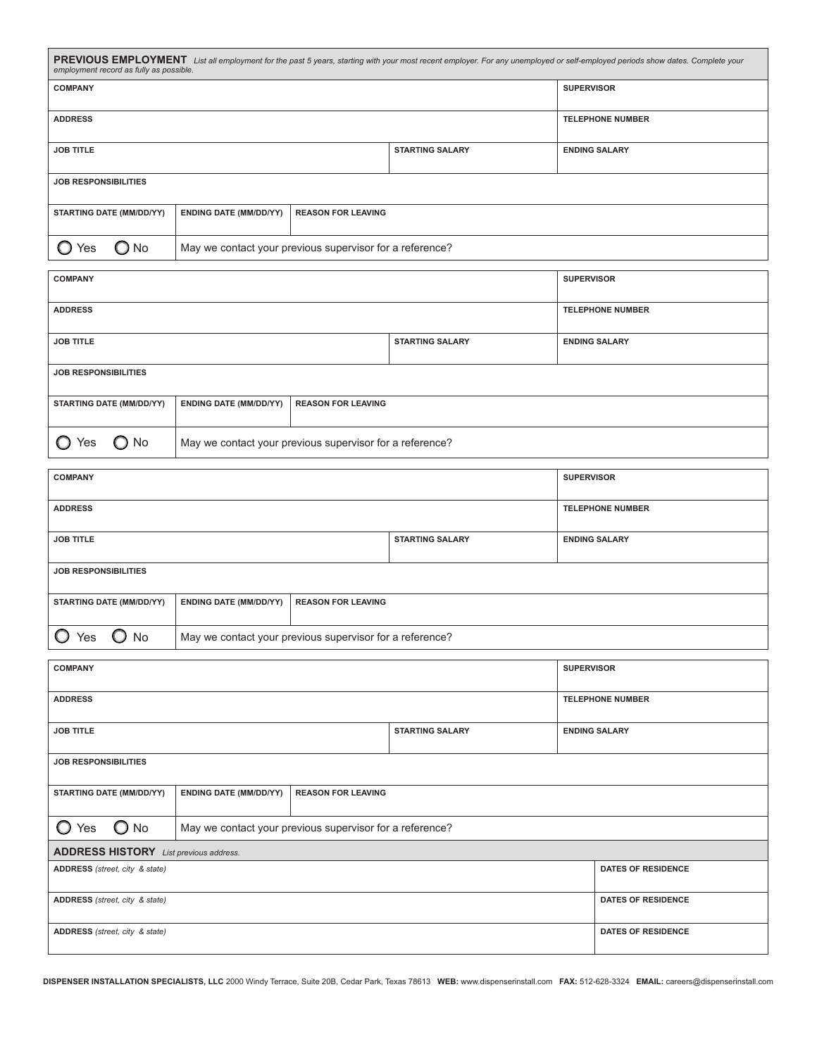| PREVIOUS EMPLOYMENT List all employment for the past 5 years, starting with your most recent employer. For any unemployed or self-employed periods show dates. Complete your<br>employment record as fully as possible. |                                                          |                           |                        |                      |  |
|-------------------------------------------------------------------------------------------------------------------------------------------------------------------------------------------------------------------------|----------------------------------------------------------|---------------------------|------------------------|----------------------|--|
| <b>COMPANY</b>                                                                                                                                                                                                          |                                                          |                           |                        | <b>SUPERVISOR</b>    |  |
| <b>ADDRESS</b><br><b>TELEPHONE NUMBER</b>                                                                                                                                                                               |                                                          |                           |                        |                      |  |
| <b>JOB TITLE</b>                                                                                                                                                                                                        |                                                          |                           | <b>STARTING SALARY</b> | <b>ENDING SALARY</b> |  |
| <b>JOB RESPONSIBILITIES</b>                                                                                                                                                                                             |                                                          |                           |                        |                      |  |
| <b>STARTING DATE (MM/DD/YY)</b>                                                                                                                                                                                         | <b>ENDING DATE (MM/DD/YY)</b>                            | <b>REASON FOR LEAVING</b> |                        |                      |  |
| No.<br>'es                                                                                                                                                                                                              | May we contact your previous supervisor for a reference? |                           |                        |                      |  |

| <b>COMPANY</b>                                                                                |                                                          |  |  | <b>SUPERVISOR</b>       |  |
|-----------------------------------------------------------------------------------------------|----------------------------------------------------------|--|--|-------------------------|--|
| <b>ADDRESS</b>                                                                                |                                                          |  |  | <b>TELEPHONE NUMBER</b> |  |
| <b>JOB TITLE</b><br><b>STARTING SALARY</b>                                                    |                                                          |  |  | <b>ENDING SALARY</b>    |  |
| <b>JOB RESPONSIBILITIES</b>                                                                   |                                                          |  |  |                         |  |
| <b>REASON FOR LEAVING</b><br><b>STARTING DATE (MM/DD/YY)</b><br><b>ENDING DATE (MM/DD/YY)</b> |                                                          |  |  |                         |  |
| $\bigcirc$ No<br>Yes                                                                          | May we contact your previous supervisor for a reference? |  |  |                         |  |

| <b>COMPANY</b>                             |                                                          |                           |  | <b>SUPERVISOR</b>       |  |
|--------------------------------------------|----------------------------------------------------------|---------------------------|--|-------------------------|--|
| <b>ADDRESS</b>                             |                                                          |                           |  | <b>TELEPHONE NUMBER</b> |  |
| <b>JOB TITLE</b><br><b>STARTING SALARY</b> |                                                          |                           |  | <b>ENDING SALARY</b>    |  |
| <b>JOB RESPONSIBILITIES</b>                |                                                          |                           |  |                         |  |
| <b>STARTING DATE (MM/DD/YY)</b>            | <b>ENDING DATE (MM/DD/YY)</b>                            | <b>REASON FOR LEAVING</b> |  |                         |  |
| No<br>′es                                  | May we contact your previous supervisor for a reference? |                           |  |                         |  |

| <b>COMPANY</b>                                |                                                            |  |                        | <b>SUPERVISOR</b>         |  |
|-----------------------------------------------|------------------------------------------------------------|--|------------------------|---------------------------|--|
| <b>ADDRESS</b>                                |                                                            |  |                        | <b>TELEPHONE NUMBER</b>   |  |
| <b>JOB TITLE</b>                              |                                                            |  | <b>STARTING SALARY</b> | <b>ENDING SALARY</b>      |  |
| <b>JOB RESPONSIBILITIES</b>                   |                                                            |  |                        |                           |  |
| <b>STARTING DATE (MM/DD/YY)</b>               | <b>ENDING DATE (MM/DD/YY)</b><br><b>REASON FOR LEAVING</b> |  |                        |                           |  |
| $\bigcirc$ No<br>Yes                          | May we contact your previous supervisor for a reference?   |  |                        |                           |  |
| <b>ADDRESS HISTORY</b> List previous address. |                                                            |  |                        |                           |  |
| ADDRESS (street, city & state)                |                                                            |  |                        | <b>DATES OF RESIDENCE</b> |  |
| ADDRESS (street, city & state)                |                                                            |  |                        | <b>DATES OF RESIDENCE</b> |  |
| ADDRESS (street, city & state)                |                                                            |  |                        | <b>DATES OF RESIDENCE</b> |  |

**DISPENSER INSTALLATION SPECIALISTS, LLC** 2000 Windy Terrace, Suite 20B, Cedar Park, Texas 78613 **WEB:** www.dispenserinstall.com **FAX:** 512-628-3324 **EMAIL:** careers@dispenserinstall.com